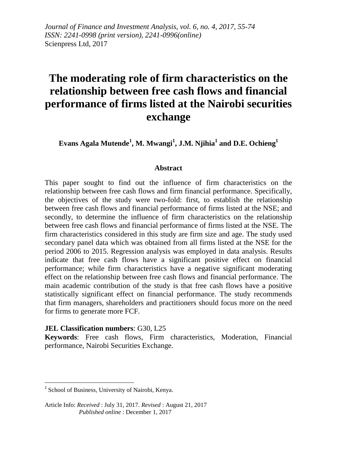*Journal of Finance and Investment Analysis, vol. 6, no. 4, 2017, 55-74 ISSN: 2241-0998 (print version), 2241-0996(online)* Scienpress Ltd, 2017

# **The moderating role of firm characteristics on the relationship between free cash flows and financial performance of firms listed at the Nairobi securities exchange**

**Evans Agala Mutende<sup>1</sup> , M. Mwangi<sup>1</sup> , J.M. Njihia<sup>1</sup> and D.E. Ochieng<sup>1</sup>**

#### **Abstract**

This paper sought to find out the influence of firm characteristics on the relationship between free cash flows and firm financial performance. Specifically, the objectives of the study were two-fold: first, to establish the relationship between free cash flows and financial performance of firms listed at the NSE; and secondly, to determine the influence of firm characteristics on the relationship between free cash flows and financial performance of firms listed at the NSE. The firm characteristics considered in this study are firm size and age. The study used secondary panel data which was obtained from all firms listed at the NSE for the period 2006 to 2015. Regression analysis was employed in data analysis. Results indicate that free cash flows have a significant positive effect on financial performance; while firm characteristics have a negative significant moderating effect on the relationship between free cash flows and financial performance. The main academic contribution of the study is that free cash flows have a positive statistically significant effect on financial performance. The study recommends that firm managers, shareholders and practitioners should focus more on the need for firms to generate more FCF.

#### **JEL Classification numbers**: G30, L25

**Keywords**: Free cash flows, Firm characteristics, Moderation, Financial performance, Nairobi Securities Exchange.

 *1* School of Business, University of Nairobi, Kenya.

Article Info: *Received* : July 31, 2017. *Revised* : August 21, 2017  *Published online* : December 1, 2017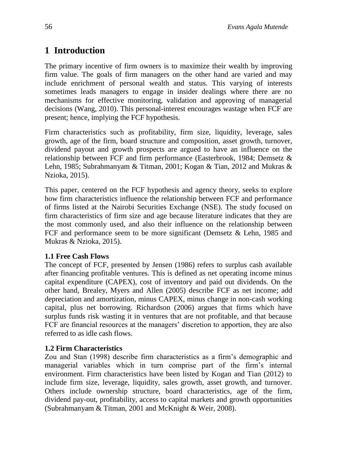# **1 Introduction**

The primary incentive of firm owners is to maximize their wealth by improving firm value. The goals of firm managers on the other hand are varied and may include enrichment of personal wealth and status. This varying of interests sometimes leads managers to engage in insider dealings where there are no mechanisms for effective monitoring, validation and approving of managerial decisions (Wang, 2010). This personal-interest encourages wastage when FCF are present; hence, implying the FCF hypothesis.

Firm characteristics such as profitability, firm size, liquidity, leverage, sales growth, age of the firm, board structure and composition, asset growth, turnover, dividend payout and growth prospects are argued to have an influence on the relationship between FCF and firm performance (Easterbrook, 1984; Demsetz & Lehn, 1985; Subrahmanyam & Titman, 2001; Kogan & Tian, 2012 and Mukras & Nzioka, 2015).

This paper, centered on the FCF hypothesis and agency theory, seeks to explore how firm characteristics influence the relationship between FCF and performance of firms listed at the Nairobi Securities Exchange (NSE). The study focused on firm characteristics of firm size and age because literature indicates that they are the most commonly used, and also their influence on the relationship between FCF and performance seem to be more significant (Demsetz & Lehn, 1985 and Mukras & Nzioka, 2015).

## **1.1 Free Cash Flows**

The concept of FCF, presented by Jensen (1986) refers to surplus cash available after financing profitable ventures. This is defined as net operating income minus capital expenditure (CAPEX), cost of inventory and paid out dividends. On the other hand, Brealey, Myers and Allen (2005) describe FCF as net income; add depreciation and amortization, minus CAPEX, minus change in non-cash working capital, plus net borrowing. Richardson (2006) argues that firms which have surplus funds risk wasting it in ventures that are not profitable, and that because FCF are financial resources at the managers' discretion to apportion, they are also referred to as idle cash flows.

## **1.2 Firm Characteristics**

Zou and Stan (1998) describe firm characteristics as a firm's demographic and managerial variables which in turn comprise part of the firm's internal environment. Firm characteristics have been listed by Kogan and Tian (2012) to include firm size, leverage, liquidity, sales growth, asset growth, and turnover. Others include ownership structure, board characteristics, age of the firm, dividend pay-out, profitability, access to capital markets and growth opportunities (Subrahmanyam & Titman, 2001 and McKnight & Weir, 2008).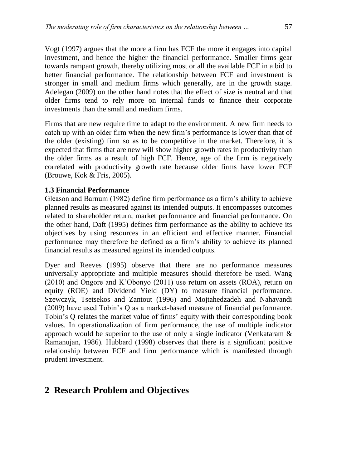Vogt (1997) argues that the more a firm has FCF the more it engages into capital investment, and hence the higher the financial performance. Smaller firms gear towards rampant growth, thereby utilizing most or all the available FCF in a bid to better financial performance. The relationship between FCF and investment is stronger in small and medium firms which generally, are in the growth stage. Adelegan (2009) on the other hand notes that the effect of size is neutral and that older firms tend to rely more on internal funds to finance their corporate investments than the small and medium firms.

Firms that are new require time to adapt to the environment. A new firm needs to catch up with an older firm when the new firm's performance is lower than that of the older (existing) firm so as to be competitive in the market. Therefore, it is expected that firms that are new will show higher growth rates in productivity than the older firms as a result of high FCF. Hence, age of the firm is negatively correlated with productivity growth rate because older firms have lower FCF (Brouwe, Kok & Fris, 2005).

## **1.3 Financial Performance**

Gleason and Barnum (1982) define firm performance as a firm's ability to achieve planned results as measured against its intended outputs. It encompasses outcomes related to shareholder return, market performance and financial performance. On the other hand, Daft (1995) defines firm performance as the ability to achieve its objectives by using resources in an efficient and effective manner. Financial performance may therefore be defined as a firm's ability to achieve its planned financial results as measured against its intended outputs.

Dyer and Reeves (1995) observe that there are no performance measures universally appropriate and multiple measures should therefore be used. Wang (2010) and Ongore and K'Obonyo (2011) use return on assets (ROA), return on equity (ROE) and Dividend Yield (DY) to measure financial performance. Szewczyk, Tsetsekos and Zantout (1996) and Mojtahedzadeh and Nahavandi (2009) have used Tobin's Q as a market-based measure of financial performance. Tobin's Q relates the market value of firms' equity with their corresponding book values. In operationalization of firm performance, the use of multiple indicator approach would be superior to the use of only a single indicator (Venkataram  $\&$ Ramanujan, 1986). Hubbard (1998) observes that there is a significant positive relationship between FCF and firm performance which is manifested through prudent investment.

## **2 Research Problem and Objectives**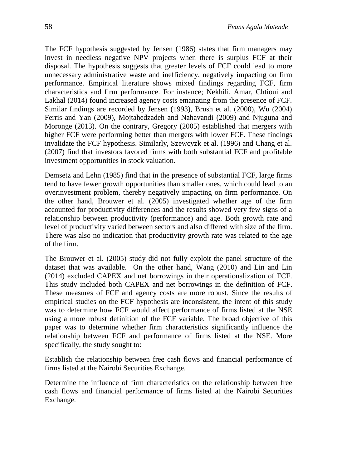The FCF hypothesis suggested by Jensen (1986) states that firm managers may invest in needless negative NPV projects when there is surplus FCF at their disposal. The hypothesis suggests that greater levels of FCF could lead to more unnecessary administrative waste and inefficiency, negatively impacting on firm performance. Empirical literature shows mixed findings regarding FCF, firm characteristics and firm performance. For instance; Nekhili, Amar, Chtioui and Lakhal (2014) found increased agency costs emanating from the presence of FCF. Similar findings are recorded by Jensen (1993), Brush et al. (2000), Wu (2004) Ferris and Yan (2009), Mojtahedzadeh and Nahavandi (2009) and Njuguna and Moronge (2013). On the contrary, Gregory (2005) established that mergers with higher FCF were performing better than mergers with lower FCF. These findings invalidate the FCF hypothesis. Similarly, Szewcyzk et al. (1996) and Chang et al. (2007) find that investors favored firms with both substantial FCF and profitable investment opportunities in stock valuation.

Demsetz and Lehn (1985) find that in the presence of substantial FCF, large firms tend to have fewer growth opportunities than smaller ones, which could lead to an overinvestment problem, thereby negatively impacting on firm performance. On the other hand, Brouwer et al. (2005) investigated whether age of the firm accounted for productivity differences and the results showed very few signs of a relationship between productivity (performance) and age. Both growth rate and level of productivity varied between sectors and also differed with size of the firm. There was also no indication that productivity growth rate was related to the age of the firm.

The Brouwer et al. (2005) study did not fully exploit the panel structure of the dataset that was available. On the other hand, Wang (2010) and Lin and Lin (2014) excluded CAPEX and net borrowings in their operationalization of FCF. This study included both CAPEX and net borrowings in the definition of FCF. These measures of FCF and agency costs are more robust. Since the results of empirical studies on the FCF hypothesis are inconsistent, the intent of this study was to determine how FCF would affect performance of firms listed at the NSE using a more robust definition of the FCF variable. The broad objective of this paper was to determine whether firm characteristics significantly influence the relationship between FCF and performance of firms listed at the NSE. More specifically, the study sought to:

Establish the relationship between free cash flows and financial performance of firms listed at the Nairobi Securities Exchange.

Determine the influence of firm characteristics on the relationship between free cash flows and financial performance of firms listed at the Nairobi Securities Exchange.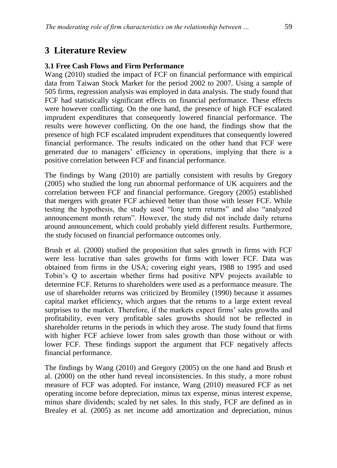## **3 Literature Review**

### **3.1 Free Cash Flows and Firm Performance**

Wang (2010) studied the impact of FCF on financial performance with empirical data from Taiwan Stock Market for the period 2002 to 2007. Using a sample of 505 firms, regression analysis was employed in data analysis. The study found that FCF had statistically significant effects on financial performance. These effects were however conflicting. On the one hand, the presence of high FCF escalated imprudent expenditures that consequently lowered financial performance. The results were however conflicting. On the one hand, the findings show that the presence of high FCF escalated imprudent expenditures that consequently lowered financial performance. The results indicated on the other hand that FCF were generated due to managers' efficiency in operations, implying that there is a positive correlation between FCF and financial performance.

The findings by Wang (2010) are partially consistent with results by Gregory (2005) who studied the long run abnormal performance of UK acquirers and the correlation between FCF and financial performance. Gregory (2005) established that mergers with greater FCF achieved better than those with lesser FCF. While testing the hypothesis, the study used "long term returns" and also "analyzed announcement month return". However, the study did not include daily returns around announcement, which could probably yield different results. Furthermore, the study focused on financial performance outcomes only.

Brush et al. (2000) studied the proposition that sales growth in firms with FCF were less lucrative than sales growths for firms with lower FCF. Data was obtained from firms in the USA; covering eight years, 1988 to 1995 and used Tobin's Q to ascertain whether firms had positive NPV projects available to determine FCF. Returns to shareholders were used as a performance measure. The use of shareholder returns was criticized by Bromiley (1990) because it assumes capital market efficiency, which argues that the returns to a large extent reveal surprises to the market. Therefore, if the markets expect firms' sales growths and profitability, even very profitable sales growths should not be reflected in shareholder returns in the periods in which they arose. The study found that firms with higher FCF achieve lower from sales growth than those without or with lower FCF. These findings support the argument that FCF negatively affects financial performance.

The findings by Wang (2010) and Gregory (2005) on the one hand and Brush et al. (2000) on the other hand reveal inconsistencies. In this study, a more robust measure of FCF was adopted. For instance, Wang (2010) measured FCF as net operating income before depreciation, minus tax expense, minus interest expense, minus share dividends; scaled by net sales. In this study, FCF are defined as in Brealey et al. (2005) as net income add amortization and depreciation, minus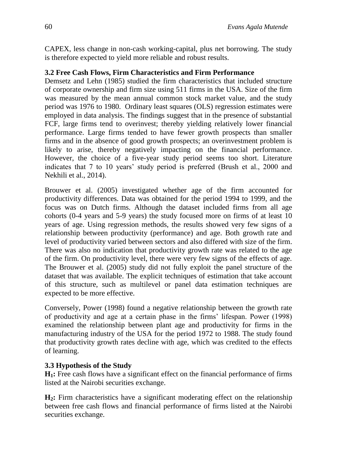CAPEX, less change in non-cash working-capital, plus net borrowing. The study is therefore expected to yield more reliable and robust results.

## **3.2 Free Cash Flows, Firm Characteristics and Firm Performance**

Demsetz and Lehn (1985) studied the firm characteristics that included structure of corporate ownership and firm size using 511 firms in the USA. Size of the firm was measured by the mean annual common stock market value, and the study period was 1976 to 1980. Ordinary least squares (OLS) regression estimates were employed in data analysis. The findings suggest that in the presence of substantial FCF, large firms tend to overinvest; thereby yielding relatively lower financial performance. Large firms tended to have fewer growth prospects than smaller firms and in the absence of good growth prospects; an overinvestment problem is likely to arise, thereby negatively impacting on the financial performance. However, the choice of a five-year study period seems too short. Literature indicates that 7 to 10 years' study period is preferred (Brush et al., 2000 and Nekhili et al., 2014).

Brouwer et al. (2005) investigated whether age of the firm accounted for productivity differences. Data was obtained for the period 1994 to 1999, and the focus was on Dutch firms. Although the dataset included firms from all age cohorts (0-4 years and 5-9 years) the study focused more on firms of at least 10 years of age. Using regression methods, the results showed very few signs of a relationship between productivity (performance) and age. Both growth rate and level of productivity varied between sectors and also differed with size of the firm. There was also no indication that productivity growth rate was related to the age of the firm. On productivity level, there were very few signs of the effects of age. The Brouwer et al. (2005) study did not fully exploit the panel structure of the dataset that was available. The explicit techniques of estimation that take account of this structure, such as multilevel or panel data estimation techniques are expected to be more effective.

Conversely, Power (1998) found a negative relationship between the growth rate of productivity and age at a certain phase in the firms' lifespan. Power (1998) examined the relationship between plant age and productivity for firms in the manufacturing industry of the USA for the period 1972 to 1988. The study found that productivity growth rates decline with age, which was credited to the effects of learning.

## **3.3 Hypothesis of the Study**

**H1:** Free cash flows have a significant effect on the financial performance of firms listed at the Nairobi securities exchange.

**H2:** Firm characteristics have a significant moderating effect on the relationship between free cash flows and financial performance of firms listed at the Nairobi securities exchange.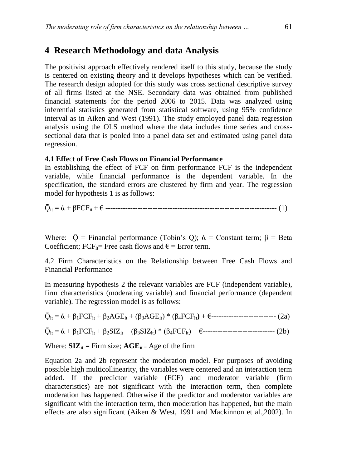## **4 Research Methodology and data Analysis**

The positivist approach effectively rendered itself to this study, because the study is centered on existing theory and it develops hypotheses which can be verified. The research design adopted for this study was cross sectional descriptive survey of all firms listed at the NSE. Secondary data was obtained from published financial statements for the period 2006 to 2015. Data was analyzed using inferential statistics generated from statistical software, using 95% confidence interval as in Aiken and West (1991). The study employed panel data regression analysis using the OLS method where the data includes time series and crosssectional data that is pooled into a panel data set and estimated using panel data regression.

#### **4.1 Effe**c**t of Free Cash Flows on Financial Performance**

In establishing the effect of FCF on firm performance FCF is the independent variable, while financial performance is the dependent variable. In the specification, the standard errors are clustered by firm and year. The regression model for hypothesis 1 is as follows:

Ǭit = ά + βFCFit + € --------------------------------------------------------------------- (1)

Where:  $\overline{Q}$  = Financial performance (Tobin's Q);  $\dot{\alpha}$  = Constant term;  $\beta$  = Beta Coefficient; FCF<sub>it</sub>= Free cash flows and  $\epsilon$  = Error term.

4.2 Firm Characteristics on the Relationship between Free Cash Flows and Financial Performance

In measuring hypothesis 2 the relevant variables are FCF (independent variable), firm characteristics (moderating variable) and financial performance (dependent variable). The regression model is as follows:

Ǭit = ά + β1FCFit + β2AGEit + (β3AGEit) \* (β4FCFi**t) +** €-------------------------- (2a)

Ǭit = ά + β1FCFit + β2SIZit + (β3SIZit) \* (β4FCFit) **+** €----------------------------- (2b)

Where:  $\mathbf{SIZ}_{it}$  = Firm size;  $\mathbf{AGE}_{it}$  = Age of the firm

Equation 2a and 2b represent the moderation model. For purposes of avoiding possible high multicollinearity, the variables were centered and an interaction term added. If the predictor variable (FCF) and moderator variable (firm characteristics) are not significant with the interaction term, then complete moderation has happened. Otherwise if the predictor and moderator variables are significant with the interaction term, then moderation has happened, but the main effects are also significant (Aiken & West, 1991 and Mackinnon et al.,2002). In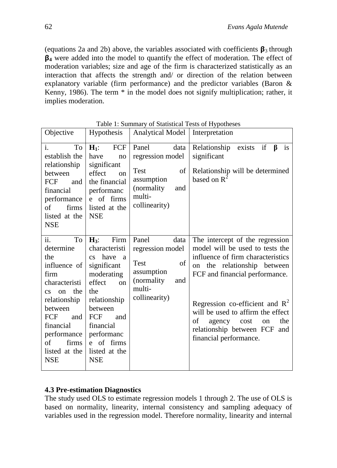(equations 2a and 2b) above, the variables associated with coefficients  $\beta_3$  through **<sup>4</sup>** were added into the model to quantify the effect of moderation. The effect of moderation variables; size and age of the firm is characterized statistically as an interaction that affects the strength and/ or direction of the relation between explanatory variable (firm performance) and the predictor variables (Baron & Kenny, 1986). The term \* in the model does not signify multiplication; rather, it implies moderation.

| Objective                                                                                                                                                                                                                                   | Hypothesis                                                                                                                                                                                                            | <b>Analytical Model</b>                                                                                        | Interpretation                                                                                                                                                                                                                                                                                                                                    |  |  |  |
|---------------------------------------------------------------------------------------------------------------------------------------------------------------------------------------------------------------------------------------------|-----------------------------------------------------------------------------------------------------------------------------------------------------------------------------------------------------------------------|----------------------------------------------------------------------------------------------------------------|---------------------------------------------------------------------------------------------------------------------------------------------------------------------------------------------------------------------------------------------------------------------------------------------------------------------------------------------------|--|--|--|
| To<br>i.<br>establish the<br>relationship<br>between<br>FCF<br>and<br>financial<br>performance<br>of<br>firms<br>listed at the<br><b>NSE</b>                                                                                                | FCF<br>$H_1$ :<br>have<br>no<br>significant<br>effect<br><sub>on</sub><br>the financial<br>performanc<br>e of firms<br>listed at the<br><b>NSE</b>                                                                    | Panel<br>data<br>regression model<br>of<br>Test<br>assumption<br>(normality)<br>and<br>multi-<br>collinearity) | if<br>is<br>Relationship<br>β<br>exists<br>significant<br>Relationship will be determined<br>based on $\mathbb{R}^2$                                                                                                                                                                                                                              |  |  |  |
| ii.<br>To<br>determine<br>the<br>influence of<br>firm<br>characteristi<br>the<br><sub>on</sub><br>$\overline{\text{cs}}$<br>relationship<br>between<br>FCF<br>and<br>financial<br>performance<br>of<br>firms<br>listed at the<br><b>NSE</b> | $H_3$ :<br>Firm<br>characteristi<br>cs have a<br>significant<br>moderating<br>effect<br>on<br>the<br>relationship<br>between<br>FCF<br>and<br>financial<br>performanc<br>of firms<br>e<br>listed at the<br><b>NSE</b> | Panel<br>data<br>regression model<br>of<br>Test<br>assumption<br>(normality)<br>and<br>multi-<br>collinearity) | The intercept of the regression<br>model will be used to tests the<br>influence of firm characteristics<br>the relationship between<br>on<br>FCF and financial performance.<br>Regression co-efficient and $R^2$<br>will be used to affirm the effect<br>the<br>of<br>agency cost<br>on<br>relationship between FCF and<br>financial performance. |  |  |  |

Table 1: Summary of Statistical Tests of Hypotheses

## **4.3 Pre-estimation Diagnostics**

The study used OLS to estimate regression models 1 through 2. The use of OLS is based on normality, linearity, internal consistency and sampling adequacy of variables used in the regression model. Therefore normality, linearity and internal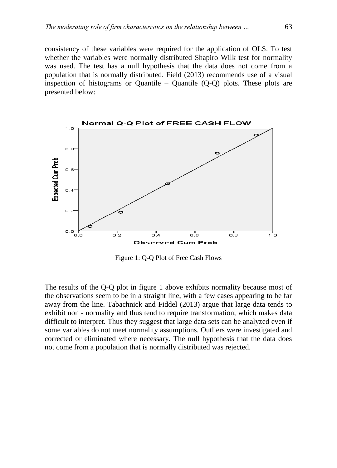consistency of these variables were required for the application of OLS. To test whether the variables were normally distributed Shapiro Wilk test for normality was used. The test has a null hypothesis that the data does not come from a population that is normally distributed. Field (2013) recommends use of a visual inspection of histograms or Quantile – Quantile  $(Q-Q)$  plots. These plots are presented below:



Figure 1: Q-Q Plot of Free Cash Flows

The results of the Q-Q plot in figure 1 above exhibits normality because most of the observations seem to be in a straight line, with a few cases appearing to be far away from the line. Tabachnick and Fiddel (2013) argue that large data tends to exhibit non - normality and thus tend to require transformation, which makes data difficult to interpret. Thus they suggest that large data sets can be analyzed even if some variables do not meet normality assumptions. Outliers were investigated and corrected or eliminated where necessary. The null hypothesis that the data does not come from a population that is normally distributed was rejected.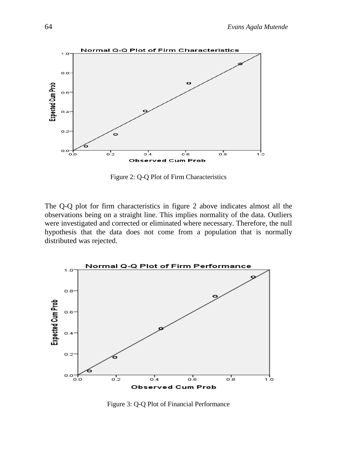

Figure 2: Q-Q Plot of Firm Characteristics

The Q-Q plot for firm characteristics in figure 2 above indicates almost all the observations being on a straight line. This implies normality of the data. Outliers were investigated and corrected or eliminated where necessary. Therefore, the null hypothesis that the data does not come from a population that is normally distributed was rejected.



Figure 3: Q-Q Plot of Financial Performance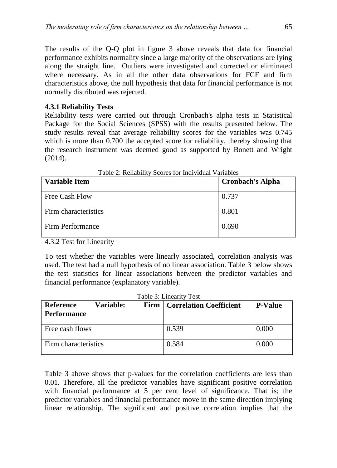The results of the Q-Q plot in figure 3 above reveals that data for financial performance exhibits normality since a large majority of the observations are lying along the straight line. Outliers were investigated and corrected or eliminated where necessary. As in all the other data observations for FCF and firm characteristics above, the null hypothesis that data for financial performance is not normally distributed was rejected.

### **4.3.1 Reliability Tests**

Reliability tests were carried out through Cronbach's alpha tests in Statistical Package for the Social Sciences (SPSS) with the results presented below. The study results reveal that average reliability scores for the variables was 0.745 which is more than 0.700 the accepted score for reliability, thereby showing that the research instrument was deemed good as supported by Bonett and Wright (2014).

| <b>Variable Item</b> | <b>Cronbach's Alpha</b> |
|----------------------|-------------------------|
| Free Cash Flow       | 0.737                   |
| Firm characteristics | 0.801                   |
| Firm Performance     | 0.690                   |

Table 2: Reliability Scores for Individual Variables

4.3.2 Test for Linearity

To test whether the variables were linearly associated, correlation analysis was used. The test had a null hypothesis of no linear association. Table 3 below shows the test statistics for linear associations between the predictor variables and financial performance (explanatory variable).

| Table 3: Linearity Test         |                  |                                       |                |  |  |
|---------------------------------|------------------|---------------------------------------|----------------|--|--|
| Reference<br><b>Performance</b> | <b>Variable:</b> | <b>Firm   Correlation Coefficient</b> | <b>P-Value</b> |  |  |
| Free cash flows                 |                  | 0.539                                 | 0.000          |  |  |
| Firm characteristics            |                  | 0.584                                 | 0.000          |  |  |

Table 3 above shows that p-values for the correlation coefficients are less than 0.01. Therefore, all the predictor variables have significant positive correlation with financial performance at 5 per cent level of significance. That is; the predictor variables and financial performance move in the same direction implying linear relationship. The significant and positive correlation implies that the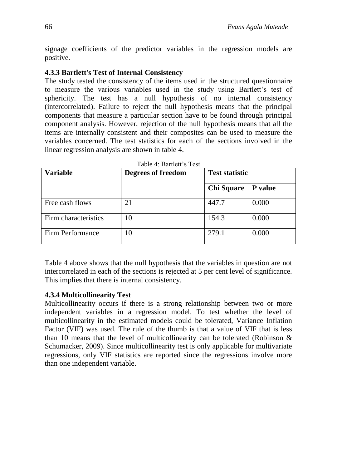signage coefficients of the predictor variables in the regression models are positive.

## **4.3.3 Bartlett's Test of Internal Consistency**

The study tested the consistency of the items used in the structured questionnaire to measure the various variables used in the study using Bartlett's test of sphericity. The test has a null hypothesis of no internal consistency (intercorrelated). Failure to reject the null hypothesis means that the principal components that measure a particular section have to be found through principal component analysis. However, rejection of the null hypothesis means that all the items are internally consistent and their composites can be used to measure the variables concerned. The test statistics for each of the sections involved in the linear regression analysis are shown in table 4.

| <b>Variable</b>      | Degrees of freedom | <b>Test statistic</b> |                |
|----------------------|--------------------|-----------------------|----------------|
|                      |                    | <b>Chi Square</b>     | <b>P</b> value |
| Free cash flows      | 21                 | 447.7                 | 0.000          |
| Firm characteristics | 10                 | 154.3                 | 0.000          |
| Firm Performance     | 10                 | 279.1                 | 0.000          |

Table 4: Bartlett's Test

Table 4 above shows that the null hypothesis that the variables in question are not intercorrelated in each of the sections is rejected at 5 per cent level of significance. This implies that there is internal consistency.

## **4.3.4 Multicollinearity Test**

Multicollinearity occurs if there is a strong relationship between two or more independent variables in a regression model. To test whether the level of multicollinearity in the estimated models could be tolerated, Variance Inflation Factor (VIF) was used. The rule of the thumb is that a value of VIF that is less than 10 means that the level of multicollinearity can be tolerated (Robinson & Schumacker, 2009). Since multicollinearity test is only applicable for multivariate regressions, only VIF statistics are reported since the regressions involve more than one independent variable.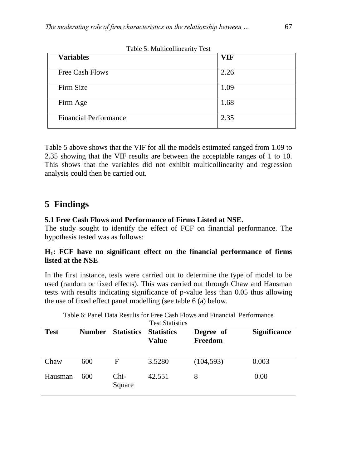| <b>Variables</b>             | <b>VIF</b> |
|------------------------------|------------|
| Free Cash Flows              | 2.26       |
| Firm Size                    | 1.09       |
| Firm Age                     | 1.68       |
| <b>Financial Performance</b> | 2.35       |

Table 5: Multicollinearity Test

Table 5 above shows that the VIF for all the models estimated ranged from 1.09 to 2.35 showing that the VIF results are between the acceptable ranges of 1 to 10. This shows that the variables did not exhibit multicollinearity and regression analysis could then be carried out.

## **5 Findings**

### **5.1 Free Cash Flows and Performance of Firms Listed at NSE.**

The study sought to identify the effect of FCF on financial performance. The hypothesis tested was as follows:

## **H1: FCF have no significant effect on the financial performance of firms listed at the NSE**

In the first instance, tests were carried out to determine the type of model to be used (random or fixed effects). This was carried out through Chaw and Hausman tests with results indicating significance of p-value less than 0.05 thus allowing the use of fixed effect panel modelling (see table 6 (a) below.

|             |               |                   | <b>Test Statistics</b>            |                      |                     |
|-------------|---------------|-------------------|-----------------------------------|----------------------|---------------------|
| <b>Test</b> | <b>Number</b> | <b>Statistics</b> | <b>Statistics</b><br><b>Value</b> | Degree of<br>Freedom | <b>Significance</b> |
| Chaw        | 600           | F                 | 3.5280                            | (104, 593)           | 0.003               |
| Hausman     | 600           | Chi-<br>Square    | 42.551                            | 8                    | 0.00                |

Table 6: Panel Data Results for Free Cash Flows and Financial Performance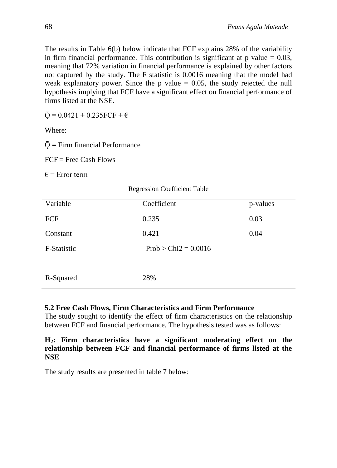The results in Table 6(b) below indicate that FCF explains 28% of the variability in firm financial performance. This contribution is significant at  $p$  value  $= 0.03$ , meaning that 72% variation in financial performance is explained by other factors not captured by the study. The F statistic is 0.0016 meaning that the model had weak explanatory power. Since the p value  $= 0.05$ , the study rejected the null hypothesis implying that FCF have a significant effect on financial performance of firms listed at the NSE.

 $\bar{Q} = 0.0421 + 0.235FCF + \epsilon$ 

Where:

 $\overline{Q}$  = Firm financial Performance

 $FCF = Free Cash Flows$ 

 $\epsilon$  = Error term

| Variable    | Coefficient            | p-values |
|-------------|------------------------|----------|
| FCF         | 0.235                  | 0.03     |
| Constant    | 0.421                  | 0.04     |
| F-Statistic | $Prob > Chi2 = 0.0016$ |          |
| R-Squared   | 28%                    |          |

Regression Coefficient Table

#### **5.2 Free Cash Flows, Firm Characteristics and Firm Performance**

The study sought to identify the effect of firm characteristics on the relationship between FCF and financial performance. The hypothesis tested was as follows:

#### **H2: Firm characteristics have a significant moderating effect on the relationship between FCF and financial performance of firms listed at the NSE**

The study results are presented in table 7 below: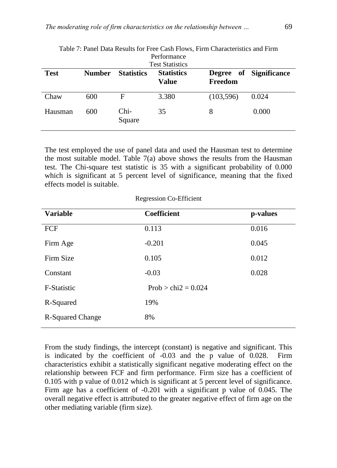| Performance<br><b>Test Statistics</b> |               |                   |                                   |            |                        |  |
|---------------------------------------|---------------|-------------------|-----------------------------------|------------|------------------------|--|
| <b>Test</b>                           | <b>Number</b> | <b>Statistics</b> | <b>Statistics</b><br><b>Value</b> | Freedom    | Degree of Significance |  |
| Chaw                                  | 600           | F                 | 3.380                             | (103, 596) | 0.024                  |  |
| Hausman                               | 600           | Chi-<br>Square    | 35                                | 8          | 0.000                  |  |

Table 7: Panel Data Results for Free Cash Flows, Firm Characteristics and Firm Performance

The test employed the use of panel data and used the Hausman test to determine the most suitable model. Table 7(a) above shows the results from the Hausman test. The Chi-square test statistic is 35 with a significant probability of 0.000 which is significant at 5 percent level of significance, meaning that the fixed effects model is suitable.

Regression Co-Efficient

| <b>Variable</b>  | <b>Coefficient</b>    | p-values |
|------------------|-----------------------|----------|
| FCF              | 0.113                 | 0.016    |
| Firm Age         | $-0.201$              | 0.045    |
| Firm Size        | 0.105                 | 0.012    |
| Constant         | $-0.03$               | 0.028    |
| F-Statistic      | $Prob > chi2 = 0.024$ |          |
| R-Squared        | 19%                   |          |
| R-Squared Change | 8%                    |          |

From the study findings, the intercept (constant) is negative and significant. This is indicated by the coefficient of -0.03 and the p value of 0.028. Firm characteristics exhibit a statistically significant negative moderating effect on the relationship between FCF and firm performance. Firm size has a coefficient of 0.105 with p value of 0.012 which is significant at 5 percent level of significance. Firm age has a coefficient of -0.201 with a significant p value of 0.045. The overall negative effect is attributed to the greater negative effect of firm age on the other mediating variable (firm size).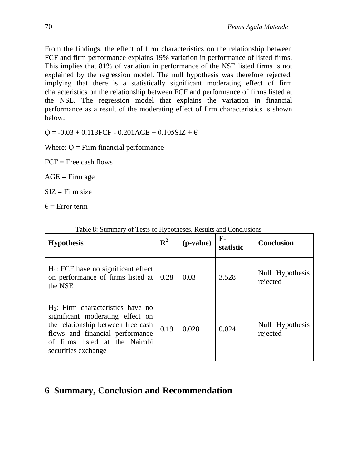From the findings, the effect of firm characteristics on the relationship between FCF and firm performance explains 19% variation in performance of listed firms. This implies that 81% of variation in performance of the NSE listed firms is not explained by the regression model. The null hypothesis was therefore rejected, implying that there is a statistically significant moderating effect of firm characteristics on the relationship between FCF and performance of firms listed at the NSE. The regression model that explains the variation in financial performance as a result of the moderating effect of firm characteristics is shown below:

 $\overline{O}$  = -0.03 + 0.113FCF - 0.201AGE + 0.105SIZ +  $\epsilon$ 

Where:  $\overline{Q}$  = Firm financial performance

 $FCF = Free cash flows$ 

 $AGE =$ Firm age

 $SIZ = Firm size$ 

 $\epsilon$  = Error term

| <b>Hypothesis</b>                                                                                                                                                                                          | ${\bf R}^2$ | ( <i>p</i> -value) | $\mathbf{F}$<br>statistic | <b>Conclusion</b>           |
|------------------------------------------------------------------------------------------------------------------------------------------------------------------------------------------------------------|-------------|--------------------|---------------------------|-----------------------------|
| $H_1$ : FCF have no significant effect<br>on performance of firms listed at<br>the NSE                                                                                                                     | 0.28        | 0.03               | 3.528                     | Null Hypothesis<br>rejected |
| $H_2$ : Firm characteristics have no<br>significant moderating effect on<br>the relationship between free cash<br>flows and financial performance<br>of firms listed at the Nairobi<br>securities exchange | 0.19        | 0.028              | 0.024                     | Null Hypothesis<br>rejected |

#### Table 8: Summary of Tests of Hypotheses, Results and Conclusions

# **6 Summary, Conclusion and Recommendation**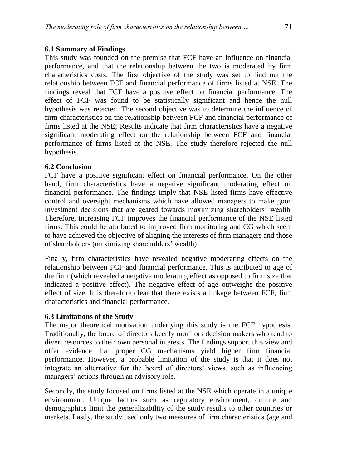## **6.1 Summary of Findings**

This study was founded on the premise that FCF have an influence on financial performance, and that the relationship between the two is moderated by firm characteristics costs. The first objective of the study was set to find out the relationship between FCF and financial performance of firms listed at NSE. The findings reveal that FCF have a positive effect on financial performance. The effect of FCF was found to be statistically significant and hence the null hypothesis was rejected. The second objective was to determine the influence of firm characteristics on the relationship between FCF and financial performance of firms listed at the NSE; Results indicate that firm characteristics have a negative significant moderating effect on the relationship between FCF and financial performance of firms listed at the NSE. The study therefore rejected the null hypothesis.

## **6.2 Conclusion**

FCF have a positive significant effect on financial performance. On the other hand, firm characteristics have a negative significant moderating effect on financial performance. The findings imply that NSE listed firms have effective control and oversight mechanisms which have allowed managers to make good investment decisions that are geared towards maximizing shareholders' wealth. Therefore, increasing FCF improves the financial performance of the NSE listed firms. This could be attributed to improved firm monitoring and CG which seem to have achieved the objective of aligning the interests of firm managers and those of shareholders (maximizing shareholders' wealth).

Finally, firm characteristics have revealed negative moderating effects on the relationship between FCF and financial performance. This is attributed to age of the firm (which revealed a negative moderating effect as opposed to firm size that indicated a positive effect). The negative effect of age outweighs the positive effect of size. It is therefore clear that there exists a linkage between FCF, firm characteristics and financial performance.

### **6.3 Limitations of the Study**

The major theoretical motivation underlying this study is the FCF hypothesis. Traditionally, the board of directors keenly monitors decision makers who tend to divert resources to their own personal interests. The findings support this view and offer evidence that proper CG mechanisms yield higher firm financial performance. However, a probable limitation of the study is that it does not integrate an alternative for the board of directors' views, such as influencing managers' actions through an advisory role.

Secondly, the study focused on firms listed at the NSE which operate in a unique environment. Unique factors such as regulatory environment, culture and demographics limit the generalizability of the study results to other countries or markets. Lastly, the study used only two measures of firm characteristics (age and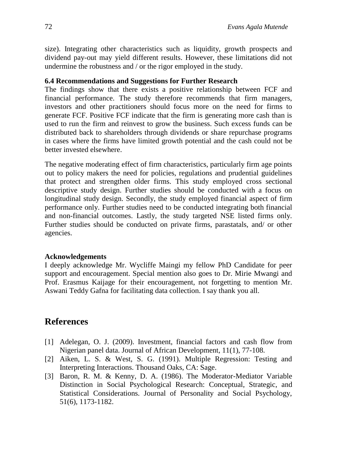size). Integrating other characteristics such as liquidity, growth prospects and dividend pay-out may yield different results. However, these limitations did not undermine the robustness and / or the rigor employed in the study.

#### **6.4 Recommendations and Suggestions for Further Research**

The findings show that there exists a positive relationship between FCF and financial performance. The study therefore recommends that firm managers, investors and other practitioners should focus more on the need for firms to generate FCF. Positive FCF indicate that the firm is generating more cash than is used to run the firm and reinvest to grow the business. Such excess funds can be distributed back to shareholders through dividends or share repurchase programs in cases where the firms have limited growth potential and the cash could not be better invested elsewhere.

The negative moderating effect of firm characteristics, particularly firm age points out to policy makers the need for policies, regulations and prudential guidelines that protect and strengthen older firms. This study employed cross sectional descriptive study design. Further studies should be conducted with a focus on longitudinal study design. Secondly, the study employed financial aspect of firm performance only. Further studies need to be conducted integrating both financial and non-financial outcomes. Lastly, the study targeted NSE listed firms only. Further studies should be conducted on private firms, parastatals, and/ or other agencies.

#### **Acknowledgements**

I deeply acknowledge Mr. Wycliffe Maingi my fellow PhD Candidate for peer support and encouragement. Special mention also goes to Dr. Mirie Mwangi and Prof. Erasmus Kaijage for their encouragement, not forgetting to mention Mr. Aswani Teddy Gafna for facilitating data collection. I say thank you all.

## **References**

- [1] Adelegan, O. J. (2009). Investment, financial factors and cash flow from Nigerian panel data. Journal of African Development, 11(1), 77-108.
- [2] Aiken, L. S. & West, S. G. (1991). Multiple Regression: Testing and Interpreting Interactions. Thousand Oaks, CA: Sage.
- [3] Baron, R. M. & Kenny, D. A. (1986). The Moderator-Mediator Variable Distinction in Social Psychological Research: Conceptual, Strategic, and Statistical Considerations. Journal of Personality and Social Psychology, 51(6), 1173-1182.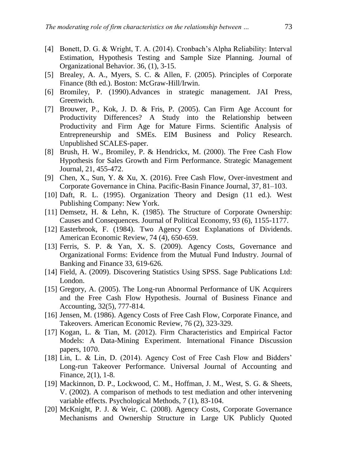- [4] Bonett, D. G. & Wright, T. A. (2014). Cronbach's Alpha Reliability: Interval Estimation, Hypothesis Testing and Sample Size Planning. Journal of Organizational Behavior. 36, (1), 3-15.
- [5] Brealey, A. A., Myers, S. C. & Allen, F. (2005). Principles of Corporate Finance (8th ed.). Boston: McGraw-Hill/Irwin.
- [6] Bromiley, P. (1990).Advances in strategic management. JAI Press, Greenwich.
- [7] Brouwer, P., Kok, J. D. & Fris, P. (2005). Can Firm Age Account for Productivity Differences? A Study into the Relationship between Productivity and Firm Age for Mature Firms. Scientific Analysis of Entrepreneurship and SMEs. EIM Business and Policy Research. Unpublished SCALES-paper.
- [8] Brush, H. W., Bromiley, P. & Hendrickx, M. (2000). The Free Cash Flow Hypothesis for Sales Growth and Firm Performance. Strategic Management Journal, 21, 455-472.
- [9] Chen, X., Sun, Y. & Xu, X. (2016). Free Cash Flow, Over-investment and Corporate Governance in China. Pacific-Basin Finance Journal, 37, 81–103.
- [10] Daft, R. L. (1995). Organization Theory and Design (11 ed.). West Publishing Company: New York.
- [11] Demsetz, H. & Lehn, K. (1985). The Structure of Corporate Ownership: Causes and Consequences. Journal of Political Economy, 93 (6), 1155-1177.
- [12] Easterbrook, F. (1984). Two Agency Cost Explanations of Dividends. American Economic Review, 74 (4), 650-659.
- [13] Ferris, S. P. & Yan, X. S. (2009). Agency Costs, Governance and Organizational Forms: Evidence from the Mutual Fund Industry. Journal of Banking and Finance 33, 619-626.
- [14] Field, A. (2009). Discovering Statistics Using SPSS. Sage Publications Ltd: London.
- [15] Gregory, A. (2005). The Long-run Abnormal Performance of UK Acquirers and the Free Cash Flow Hypothesis. Journal of Business Finance and Accounting, 32(5), 777-814.
- [16] Jensen, M. (1986). Agency Costs of Free Cash Flow, Corporate Finance, and Takeovers. American Economic Review, 76 (2), 323-329.
- [17] Kogan, L. & Tian, M. (2012). Firm Characteristics and Empirical Factor Models: A Data-Mining Experiment. International Finance Discussion papers, 1070.
- [18] Lin, L. & Lin, D. (2014). Agency Cost of Free Cash Flow and Bidders' Long-run Takeover Performance. Universal Journal of Accounting and Finance, 2(1), 1-8.
- [19] Mackinnon, D. P., Lockwood, C. M., Hoffman, J. M., West, S. G. & Sheets, V. (2002). A comparison of methods to test mediation and other intervening variable effects. Psychological Methods, 7 (1), 83-104.
- [20] McKnight, P. J. & Weir, C. (2008). Agency Costs, Corporate Governance Mechanisms and Ownership Structure in Large UK Publicly Quoted